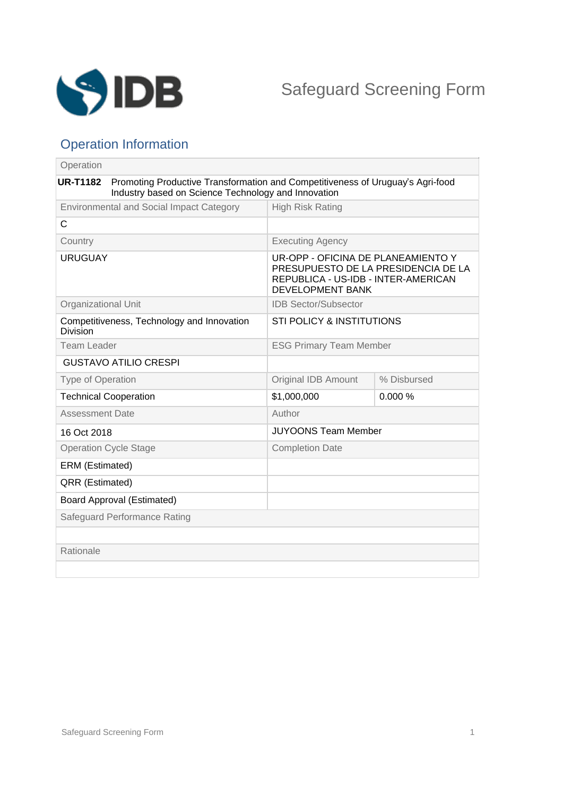

# Operation Information

| Operation                                                     |                                                                                                                                       |                                                                                                                                             |             |
|---------------------------------------------------------------|---------------------------------------------------------------------------------------------------------------------------------------|---------------------------------------------------------------------------------------------------------------------------------------------|-------------|
| <b>UR-T1182</b>                                               | Promoting Productive Transformation and Competitiveness of Uruguay's Agri-food<br>Industry based on Science Technology and Innovation |                                                                                                                                             |             |
| <b>Environmental and Social Impact Category</b>               |                                                                                                                                       | <b>High Risk Rating</b>                                                                                                                     |             |
| $\mathsf{C}$                                                  |                                                                                                                                       |                                                                                                                                             |             |
| Country                                                       |                                                                                                                                       | <b>Executing Agency</b>                                                                                                                     |             |
| <b>URUGUAY</b>                                                |                                                                                                                                       | UR-OPP - OFICINA DE PLANEAMIENTO Y<br>PRESUPUESTO DE LA PRESIDENCIA DE LA<br>REPUBLICA - US-IDB - INTER-AMERICAN<br><b>DEVELOPMENT BANK</b> |             |
| Organizational Unit                                           |                                                                                                                                       | <b>IDB Sector/Subsector</b>                                                                                                                 |             |
| Competitiveness, Technology and Innovation<br><b>Division</b> |                                                                                                                                       | <b>STI POLICY &amp; INSTITUTIONS</b>                                                                                                        |             |
| <b>Team Leader</b>                                            |                                                                                                                                       | <b>ESG Primary Team Member</b>                                                                                                              |             |
| <b>GUSTAVO ATILIO CRESPI</b>                                  |                                                                                                                                       |                                                                                                                                             |             |
| <b>Type of Operation</b>                                      |                                                                                                                                       | Original IDB Amount                                                                                                                         | % Disbursed |
| <b>Technical Cooperation</b>                                  |                                                                                                                                       | \$1,000,000                                                                                                                                 | 0.000%      |
| <b>Assessment Date</b>                                        |                                                                                                                                       | Author                                                                                                                                      |             |
| 16 Oct 2018                                                   |                                                                                                                                       | <b>JUYOONS Team Member</b>                                                                                                                  |             |
| <b>Operation Cycle Stage</b>                                  |                                                                                                                                       | <b>Completion Date</b>                                                                                                                      |             |
| ERM (Estimated)                                               |                                                                                                                                       |                                                                                                                                             |             |
| QRR (Estimated)                                               |                                                                                                                                       |                                                                                                                                             |             |
| <b>Board Approval (Estimated)</b>                             |                                                                                                                                       |                                                                                                                                             |             |
|                                                               | Safeguard Performance Rating                                                                                                          |                                                                                                                                             |             |
|                                                               |                                                                                                                                       |                                                                                                                                             |             |
| Rationale                                                     |                                                                                                                                       |                                                                                                                                             |             |
|                                                               |                                                                                                                                       |                                                                                                                                             |             |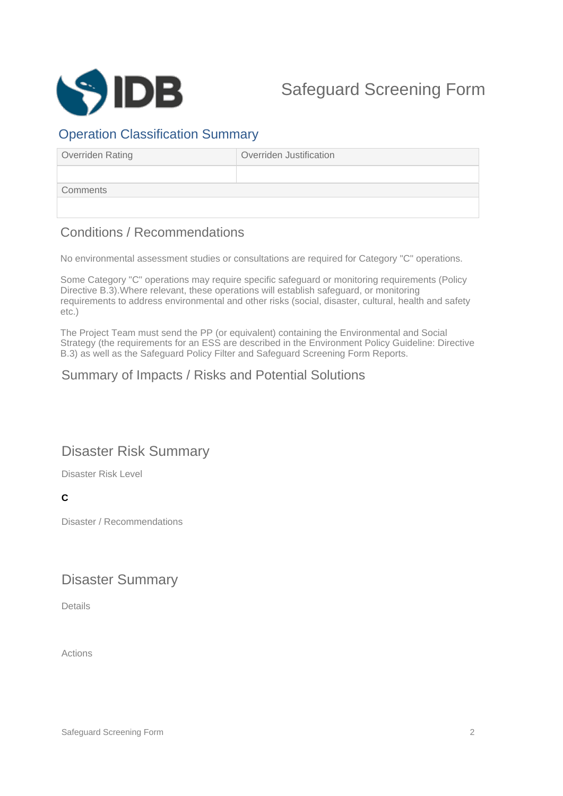

#### Operation Classification Summary

| Overriden Rating | Overriden Justification |  |
|------------------|-------------------------|--|
|                  |                         |  |
| Comments         |                         |  |
|                  |                         |  |

## Conditions / Recommendations

No environmental assessment studies or consultations are required for Category "C" operations.

Some Category "C" operations may require specific safeguard or monitoring requirements (Policy Directive B.3).Where relevant, these operations will establish safeguard, or monitoring requirements to address environmental and other risks (social, disaster, cultural, health and safety etc.)

The Project Team must send the PP (or equivalent) containing the Environmental and Social Strategy (the requirements for an ESS are described in the Environment Policy Guideline: Directive B.3) as well as the Safeguard Policy Filter and Safeguard Screening Form Reports.

## Summary of Impacts / Risks and Potential Solutions

# Disaster Risk Summary

Disaster Risk Level

#### **C**

Disaster / Recommendations

### Disaster Summary

Details

Actions